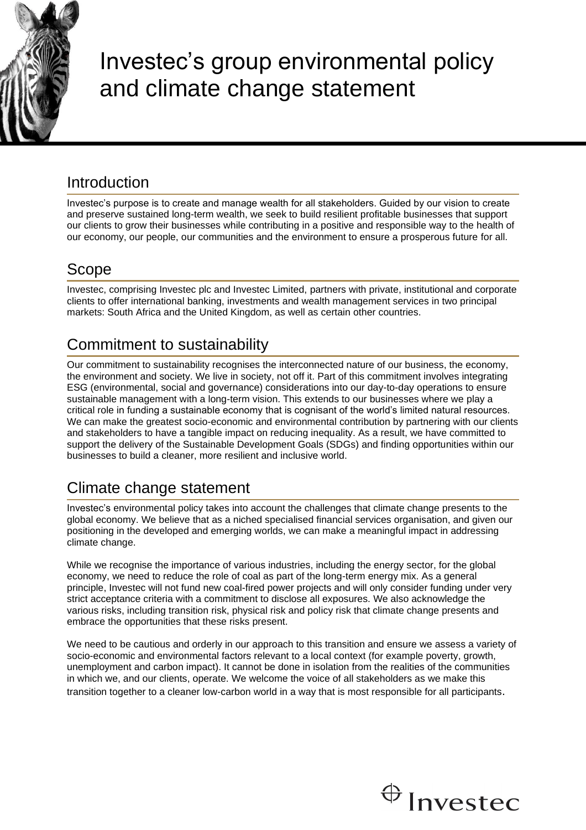

# Investec's group environmental policy and climate change statement

### **Introduction**

Investec's purpose is to create and manage wealth for all stakeholders. Guided by our vision to create and preserve sustained long-term wealth, we seek to build resilient profitable businesses that support our clients to grow their businesses while contributing in a positive and responsible way to the health of our economy, our people, our communities and the environment to ensure a prosperous future for all.

## Scope

Investec, comprising Investec plc and Investec Limited, partners with private, institutional and corporate clients to offer international banking, investments and wealth management services in two principal markets: South Africa and the United Kingdom, as well as certain other countries.

# Commitment to sustainability

Our commitment to sustainability recognises the interconnected nature of our business, the economy, the environment and society. We live in society, not off it. Part of this commitment involves integrating ESG (environmental, social and governance) considerations into our day-to-day operations to ensure sustainable management with a long-term vision. This extends to our businesses where we play a critical role in funding a sustainable economy that is cognisant of the world's limited natural resources. We can make the greatest socio-economic and environmental contribution by partnering with our clients and stakeholders to have a tangible impact on reducing inequality. As a result, we have committed to support the delivery of the Sustainable Development Goals (SDGs) and finding opportunities within our businesses to build a cleaner, more resilient and inclusive world.

# Climate change statement

Investec's environmental policy takes into account the challenges that climate change presents to the global economy. We believe that as a niched specialised financial services organisation, and given our positioning in the developed and emerging worlds, we can make a meaningful impact in addressing climate change.

While we recognise the importance of various industries, including the energy sector, for the global economy, we need to reduce the role of coal as part of the long-term energy mix. As a general principle, Investec will not fund new coal-fired power projects and will only consider funding under very strict acceptance criteria with a commitment to disclose all exposures. We also acknowledge the various risks, including transition risk, physical risk and policy risk that climate change presents and embrace the opportunities that these risks present.

We need to be cautious and orderly in our approach to this transition and ensure we assess a variety of socio-economic and environmental factors relevant to a local context (for example poverty, growth, unemployment and carbon impact). It cannot be done in isolation from the realities of the communities in which we, and our clients, operate. We welcome the voice of all stakeholders as we make this transition together to a cleaner low-carbon world in a way that is most responsible for all participants.

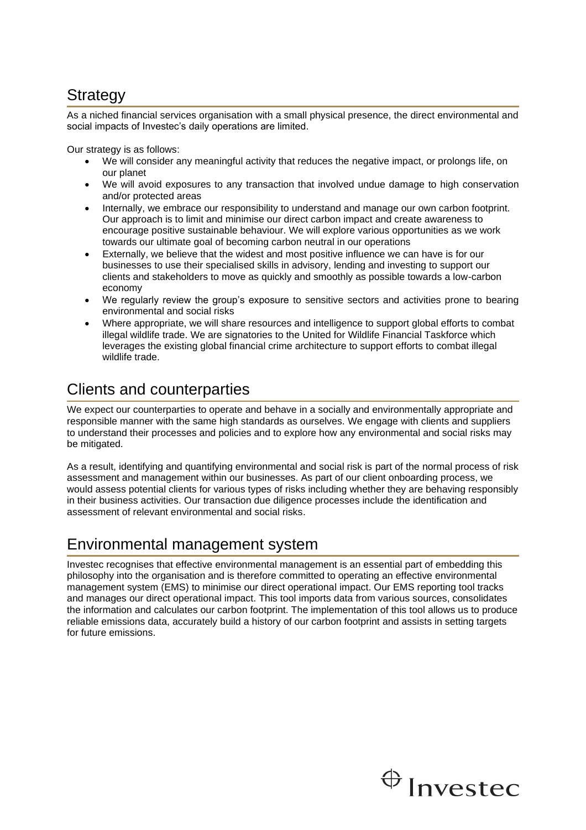### **Strategy**

As a niched financial services organisation with a small physical presence, the direct environmental and social impacts of Investec's daily operations are limited.

Our strategy is as follows:

- We will consider any meaningful activity that reduces the negative impact, or prolongs life, on our planet
- We will avoid exposures to any transaction that involved undue damage to high conservation and/or protected areas
- Internally, we embrace our responsibility to understand and manage our own carbon footprint. Our approach is to limit and minimise our direct carbon impact and create awareness to encourage positive sustainable behaviour. We will explore various opportunities as we work towards our ultimate goal of becoming carbon neutral in our operations
- Externally, we believe that the widest and most positive influence we can have is for our businesses to use their specialised skills in advisory, lending and investing to support our clients and stakeholders to move as quickly and smoothly as possible towards a low-carbon economy
- We regularly review the group's exposure to sensitive sectors and activities prone to bearing environmental and social risks
- Where appropriate, we will share resources and intelligence to support global efforts to combat illegal wildlife trade. We are signatories to the United for Wildlife Financial Taskforce which leverages the existing global financial crime architecture to support efforts to combat illegal wildlife trade.

## Clients and counterparties

We expect our counterparties to operate and behave in a socially and environmentally appropriate and responsible manner with the same high standards as ourselves. We engage with clients and suppliers to understand their processes and policies and to explore how any environmental and social risks may be mitigated.

As a result, identifying and quantifying environmental and social risk is part of the normal process of risk assessment and management within our businesses. As part of our client onboarding process, we would assess potential clients for various types of risks including whether they are behaving responsibly in their business activities. Our transaction due diligence processes include the identification and assessment of relevant environmental and social risks.

#### Environmental management system

Investec recognises that effective environmental management is an essential part of embedding this philosophy into the organisation and is therefore committed to operating an effective environmental management system (EMS) to minimise our direct operational impact. Our EMS reporting tool tracks and manages our direct operational impact. This tool imports data from various sources, consolidates the information and calculates our carbon footprint. The implementation of this tool allows us to produce reliable emissions data, accurately build a history of our carbon footprint and assists in setting targets for future emissions.